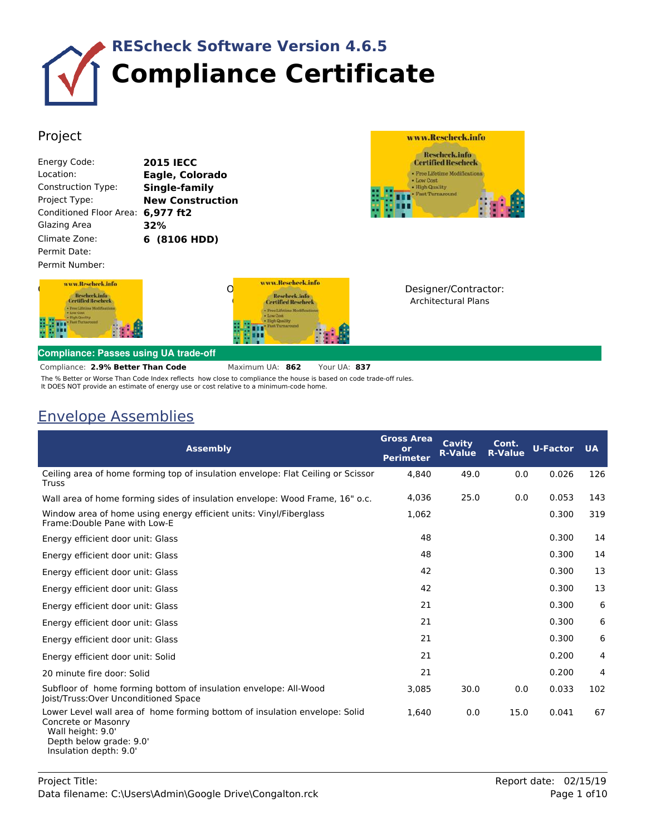

## Project

| Energy Code:                   | 201! |
|--------------------------------|------|
| Location:                      | Eagl |
| <b>Construction Type:</b>      | Sing |
| Project Type:                  | New  |
| <b>Conditioned Floor Area:</b> | 6.97 |
| Glazing Area                   | 32%  |
| Climate Zone:                  | 6 (8 |
| Permit Date:                   |      |
| Permit Number:                 |      |



**15 IECC** Location: **Eagle, Colorado** Construction Type: **Single-family ew Construction** 977 ft2 Climate Zone: **6 (8106 HDD)**



Owner/Agent: **Congregation Reschedence** 

Designer/Contractor: Architectural Plans

## **Compliance: Passes using UA trade-off**

**2.9% Better Than Code** Maximum UA: **862** Your UA: **837** Compliance:

The % Better or Worse Than Code Index reflects how close to compliance the house is based on code trade-off rules. It DOES NOT provide an estimate of energy use or cost relative to a minimum-code home.

## Envelope Assemblies

| <b>Assembly</b>                                                                                                                                                             | <b>Gross Area</b><br>or<br><b>Perimeter</b> | Cavity<br><b>R-Value</b> | Cont.<br><b>R-Value</b> | <b>U-Factor</b> | <b>UA</b> |
|-----------------------------------------------------------------------------------------------------------------------------------------------------------------------------|---------------------------------------------|--------------------------|-------------------------|-----------------|-----------|
| Ceiling area of home forming top of insulation envelope: Flat Ceiling or Scissor<br>Truss                                                                                   | 4,840                                       | 49.0                     | 0.0                     | 0.026           | 126       |
| Wall area of home forming sides of insulation envelope: Wood Frame, 16" o.c.                                                                                                | 4,036                                       | 25.0                     | 0.0                     | 0.053           | 143       |
| Window area of home using energy efficient units: Vinyl/Fiberglass<br>Frame: Double Pane with Low-E                                                                         | 1,062                                       |                          |                         | 0.300           | 319       |
| Energy efficient door unit: Glass                                                                                                                                           | 48                                          |                          |                         | 0.300           | 14        |
| Energy efficient door unit: Glass                                                                                                                                           | 48                                          |                          |                         | 0.300           | 14        |
| Energy efficient door unit: Glass                                                                                                                                           | 42                                          |                          |                         | 0.300           | 13        |
| Energy efficient door unit: Glass                                                                                                                                           | 42                                          |                          |                         | 0.300           | 13        |
| Energy efficient door unit: Glass                                                                                                                                           | 21                                          |                          |                         | 0.300           | 6         |
| Energy efficient door unit: Glass                                                                                                                                           | 21                                          |                          |                         | 0.300           | 6         |
| Energy efficient door unit: Glass                                                                                                                                           | 21                                          |                          |                         | 0.300           | 6         |
| Energy efficient door unit: Solid                                                                                                                                           | 21                                          |                          |                         | 0.200           | 4         |
| 20 minute fire door: Solid                                                                                                                                                  | 21                                          |                          |                         | 0.200           | 4         |
| Subfloor of home forming bottom of insulation envelope: All-Wood<br>Joist/Truss: Over Unconditioned Space                                                                   | 3,085                                       | 30.0                     | 0.0                     | 0.033           | 102       |
| Lower Level wall area of home forming bottom of insulation envelope: Solid<br>Concrete or Masonry<br>Wall height: 9.0'<br>Depth below grade: 9.0'<br>Insulation depth: 9.0' | 1.640                                       | 0.0                      | 15.0                    | 0.041           | 67        |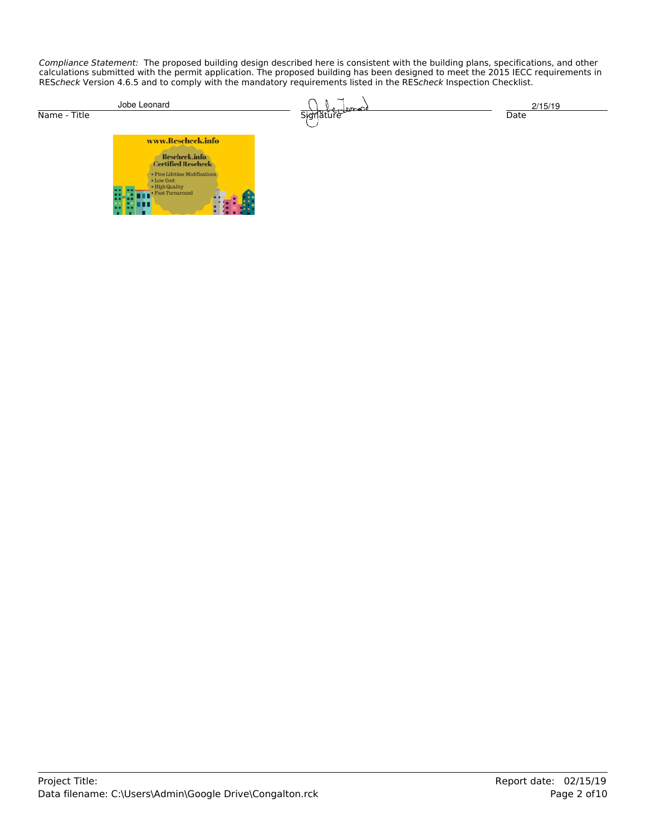Compliance Statement: The proposed building design described here is consistent with the building plans, specifications, and other calculations submitted with the permit application. The proposed building has been designed to meet the 2015 IECC requirements in REScheck Version 4.6.5 and to comply with the mandatory requirements listed in the REScheck Inspection Checklist.

| Jobe Leonard                                      | <u>namend</u> | 2/15/19               |
|---------------------------------------------------|---------------|-----------------------|
| Name - Title                                      | Signature     | Date                  |
| www.Rescheck.info                                 |               |                       |
|                                                   |               |                       |
| Rescheck.info<br>Certified Rescheck               |               |                       |
| · Free Lifetime Modifications                     |               |                       |
| - Low Cost<br>- High Quality<br>- Fast Turnaround |               |                       |
|                                                   |               |                       |
|                                                   |               |                       |
|                                                   |               |                       |
|                                                   |               |                       |
|                                                   |               |                       |
|                                                   |               |                       |
|                                                   |               |                       |
|                                                   |               |                       |
|                                                   |               |                       |
|                                                   |               |                       |
|                                                   |               |                       |
|                                                   |               |                       |
|                                                   |               |                       |
|                                                   |               |                       |
|                                                   |               |                       |
|                                                   |               |                       |
|                                                   |               |                       |
|                                                   |               |                       |
|                                                   |               |                       |
|                                                   |               |                       |
|                                                   |               |                       |
|                                                   |               |                       |
|                                                   |               |                       |
|                                                   |               |                       |
|                                                   |               |                       |
|                                                   |               |                       |
|                                                   |               |                       |
|                                                   |               |                       |
|                                                   |               |                       |
|                                                   |               |                       |
|                                                   |               |                       |
|                                                   |               |                       |
|                                                   |               |                       |
|                                                   |               |                       |
|                                                   |               |                       |
|                                                   |               |                       |
|                                                   |               |                       |
|                                                   |               |                       |
|                                                   |               |                       |
| Project Title:                                    |               | Report date: 02/15/19 |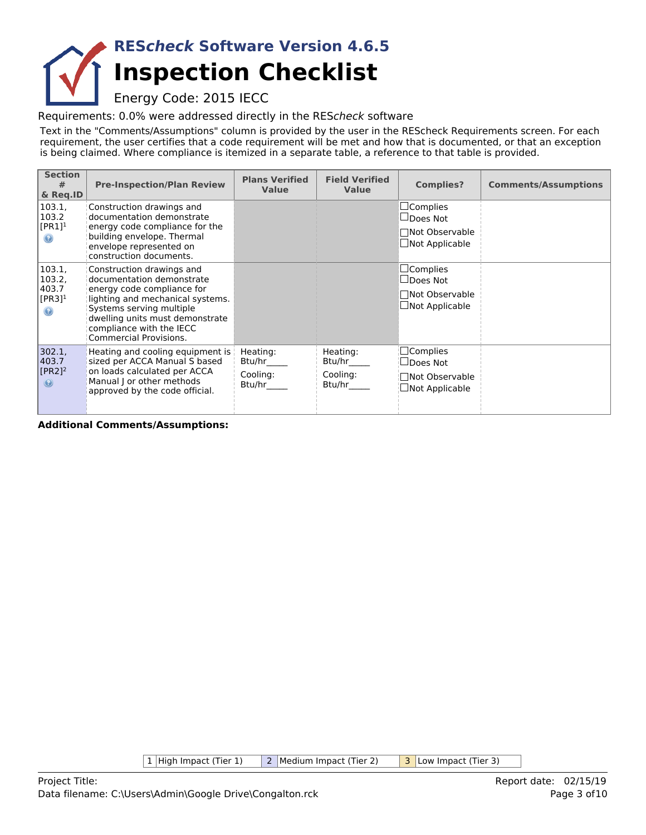## **Inspection Checklist REScheck Software Version 4.6.5**

Energy Code: 2015 IECC

Requirements: 0.0% were addressed directly in the REScheck software

Text in the "Comments/Assumptions" column is provided by the user in the REScheck Requirements screen. For each requirement, the user certifies that a code requirement will be met and how that is documented, or that an exception is being claimed. Where compliance is itemized in a separate table, a reference to that table is provided.

| <b>Section</b><br>#<br>& Req.ID                              | <b>Pre-Inspection/Plan Review</b>                                                                                                                                                                                                                    | <b>Plans Verified</b><br><b>Value</b>    | <b>Field Verified</b><br><b>Value</b>    | <b>Complies?</b>                                                                   | <b>Comments/Assumptions</b> |
|--------------------------------------------------------------|------------------------------------------------------------------------------------------------------------------------------------------------------------------------------------------------------------------------------------------------------|------------------------------------------|------------------------------------------|------------------------------------------------------------------------------------|-----------------------------|
| 103.1,<br>103.2<br>$[PR1]^1$<br>$\odot$                      | Construction drawings and<br>documentation demonstrate<br>energy code compliance for the<br>building envelope. Thermal<br>envelope represented on<br>construction documents.                                                                         |                                          |                                          | $\Box$ Complies<br>$\Box$ Does Not<br>□Not Observable<br>$\Box$ Not Applicable     |                             |
| 103.1,<br>103.2,<br>403.7<br>$[PR3]$ <sup>1</sup><br>$\odot$ | Construction drawings and<br>documentation demonstrate<br>energy code compliance for<br>lighting and mechanical systems.<br>Systems serving multiple<br>dwelling units must demonstrate<br>compliance with the IECC<br><b>Commercial Provisions.</b> |                                          |                                          | $\sqcup$ Complies<br>$\Box$ Does Not<br>□Not Observable<br>$\Box$ Not Applicable   |                             |
| 302.1,<br>403.7<br>$[PR2]$ <sup>2</sup><br>$\circledast$     | Heating and cooling equipment is  <br>sized per ACCA Manual S based<br>on loads calculated per ACCA<br>Manual J or other methods<br>approved by the code official.                                                                                   | Heating:<br>Btu/hr<br>Cooling:<br>Btu/hr | Heating:<br>Btu/hr<br>Cooling:<br>Btu/hr | $\square$ Complies<br>$\sqcup$ Does Not<br>Not Observable<br>$\Box$ Not Applicable |                             |

**Additional Comments/Assumptions:**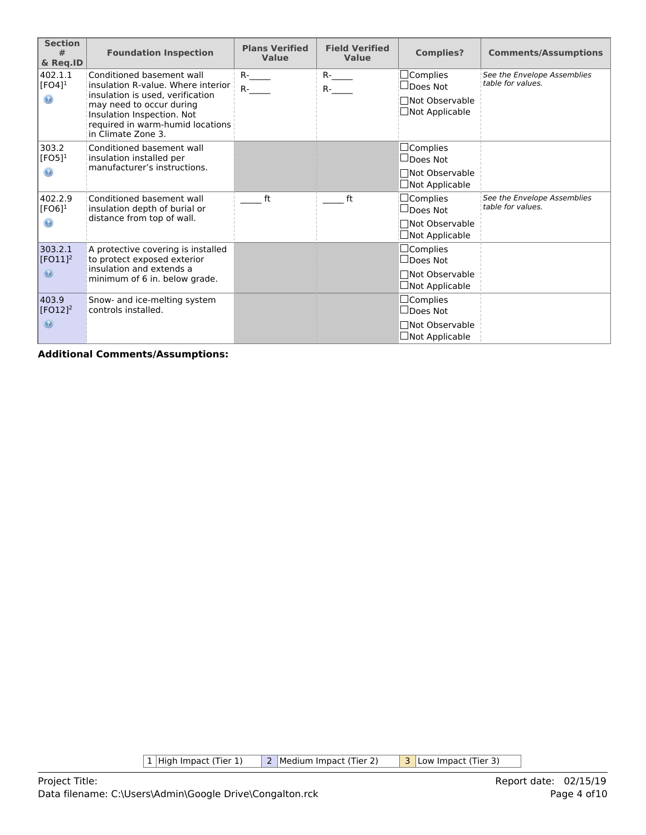| <b>Section</b><br>#<br>& Req.ID            | <b>Foundation Inspection</b>                                                                                                                                                                                            | <b>Plans Verified</b><br><b>Value</b> | <b>Field Verified</b><br><b>Value</b> | <b>Complies?</b>                                                                        | <b>Comments/Assumptions</b>                      |
|--------------------------------------------|-------------------------------------------------------------------------------------------------------------------------------------------------------------------------------------------------------------------------|---------------------------------------|---------------------------------------|-----------------------------------------------------------------------------------------|--------------------------------------------------|
| 402.1.1<br>$[FO4]$ <sup>1</sup><br>$\odot$ | Conditioned basement wall<br>insulation R-value. Where interior<br>insulation is used, verification<br>may need to occur during<br>Insulation Inspection. Not<br>required in warm-humid locations<br>in Climate Zone 3. | $R$ - $\qquad$<br>$R-$                | $R$ -<br>$R$ - $\_\_\_\_\$            | $\Box$ Complies<br>$\sqcup$ Does Not<br>Mot Observable⊓<br>$\Box$ Not Applicable        | See the Envelope Assemblies<br>table for values. |
| 303.2<br>[FO5] $1$<br>$\odot$              | Conditioned basement wall<br>insulation installed per<br>manufacturer's instructions.                                                                                                                                   |                                       |                                       | $\Box$ Complies<br>$\square$ Does Not<br>□Not Observable<br>$\Box$ Not Applicable       |                                                  |
| 402.2.9<br>$[FO6]$ <sup>1</sup><br>$\odot$ | Conditioned basement wall<br>insulation depth of burial or<br>distance from top of wall.                                                                                                                                | ft                                    | ft                                    | $\Box$ Complies<br>$\sqcup$ Does Not<br><b>Not Observable</b><br><b>□Not Applicable</b> | See the Envelope Assemblies<br>table for values. |
| 303.2.1<br>$[FO11]^{2}$<br>$\circledcirc$  | A protective covering is installed<br>to protect exposed exterior<br>insulation and extends a<br>minimum of 6 in. below grade.                                                                                          |                                       |                                       | $\Box$ Complies<br>$\square$ Does Not<br>□Not Observable<br>$\Box$ Not Applicable       |                                                  |
| 403.9<br>$[FO12]^{2}$<br>$\circledcirc$    | Snow- and ice-melting system<br>controls installed.                                                                                                                                                                     |                                       |                                       | $\Box$ Complies<br>$\square$ Does Not<br><b>Not Observable</b><br>$\Box$ Not Applicable |                                                  |

 $\boxed{1}$  High Impact (Tier 1)  $\boxed{2}$  Medium Impact (Tier 2)  $\boxed{3}$  Low Impact (Tier 3)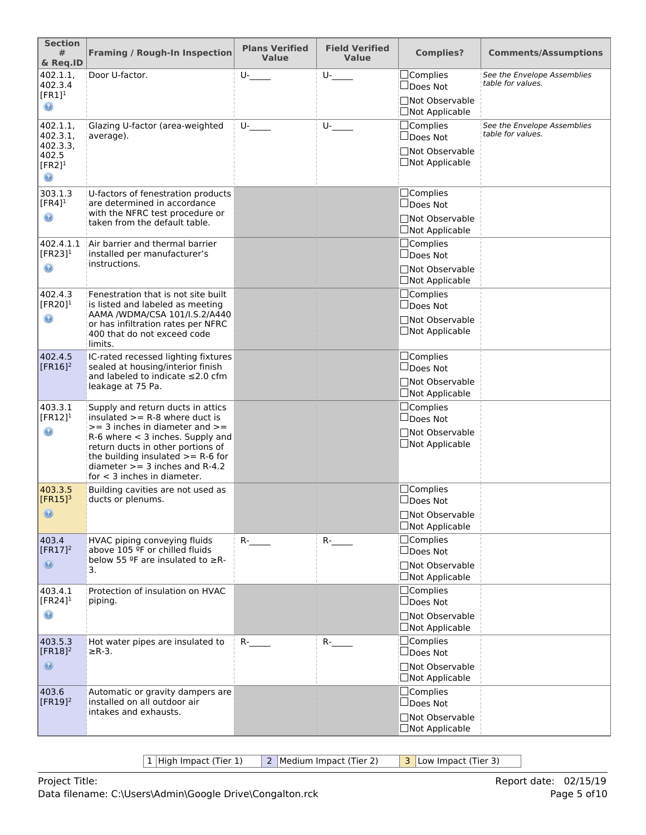| <b>Section</b><br>#<br>& Req.ID                 | <b>Framing / Rough-In Inspection</b>                                                                                                                                                                                                                            | <b>Plans Verified</b><br>Value | <b>Field Verified</b><br><b>Value</b> | <b>Complies?</b>                                      | <b>Comments/Assumptions</b>                      |
|-------------------------------------------------|-----------------------------------------------------------------------------------------------------------------------------------------------------------------------------------------------------------------------------------------------------------------|--------------------------------|---------------------------------------|-------------------------------------------------------|--------------------------------------------------|
| 402.1.1,<br>402.3.4                             | Door U-factor.                                                                                                                                                                                                                                                  | $U$ - $\qquad$                 | $U$ - $\qquad$                        | □Complies<br>∐Does Not                                | See the Envelope Assemblies<br>table for values. |
| $[FR1]^1$<br>$_{\odot}$                         |                                                                                                                                                                                                                                                                 |                                |                                       | □Not Observable<br>□Not Applicable                    |                                                  |
| 402.1.1,<br>402.3.1,<br>402.3.3.                | Glazing U-factor (area-weighted<br>average).                                                                                                                                                                                                                    | $U$ - $\qquad$                 | $U_{-}$                               | $\Box$ Complies<br>$\Box$ Does Not                    | See the Envelope Assemblies<br>table for values. |
| 402.5<br>$[FR2]$ <sup>1</sup><br>$\circledcirc$ |                                                                                                                                                                                                                                                                 |                                |                                       | □Not Observable<br>□Not Applicable                    |                                                  |
| 303.1.3<br>$[FR4]$ <sup>1</sup>                 | U-factors of fenestration products<br>are determined in accordance                                                                                                                                                                                              |                                |                                       | □Complies<br>$\Box$ Does Not                          |                                                  |
| $\circledast$                                   | with the NFRC test procedure or<br>taken from the default table.                                                                                                                                                                                                |                                |                                       | □Not Observable<br>□Not Applicable                    |                                                  |
| 402.4.1.1<br>$[FR23]$ <sup>1</sup>              | Air barrier and thermal barrier<br>installed per manufacturer's                                                                                                                                                                                                 |                                |                                       | <b>Complies</b><br>□Does Not                          |                                                  |
| $\circledast$                                   | instructions.                                                                                                                                                                                                                                                   |                                |                                       | □Not Observable<br>□Not Applicable                    |                                                  |
| 402.4.3<br>[FR20] $1$                           | Fenestration that is not site built<br>is listed and labeled as meeting                                                                                                                                                                                         |                                |                                       | <b>Complies</b><br>□Does Not                          |                                                  |
| ◉                                               | AAMA /WDMA/CSA 101/I.S.2/A440<br>or has infiltration rates per NFRC<br>400 that do not exceed code<br>limits.                                                                                                                                                   |                                |                                       | □Not Observable<br>□Not Applicable                    |                                                  |
| 402.4.5<br>$[FR16]$ <sup>2</sup>                | IC-rated recessed lighting fixtures<br>sealed at housing/interior finish<br>and labeled to indicate $\leq$ 2.0 cfm<br>leakage at 75 Pa.                                                                                                                         |                                |                                       | □Complies<br>$\Box$ Does Not<br><b>Not Observable</b> |                                                  |
| 403.3.1                                         | Supply and return ducts in attics                                                                                                                                                                                                                               |                                |                                       | □Not Applicable<br>$\Box$ Complies                    |                                                  |
| [ $FR12$ ] <sup>1</sup><br>$\odot$              | insulated $>=$ R-8 where duct is<br>$>=$ 3 inches in diameter and $>=$<br>$R-6$ where $<$ 3 inches. Supply and<br>return ducts in other portions of<br>the building insulated $>= R-6$ for<br>diameter $>=$ 3 inches and R-4.2<br>for $<$ 3 inches in diameter. |                                |                                       | □Does Not<br><b>Not Observable</b><br>□Not Applicable |                                                  |
| 403.3.5<br>$[FR15]$ <sup>3</sup>                | Building cavities are not used as<br>ducts or plenums.                                                                                                                                                                                                          |                                |                                       | $\Box$ Complies<br>$\square$ Does Not                 |                                                  |
| $\circledcirc$                                  |                                                                                                                                                                                                                                                                 |                                |                                       | □Not Observable<br>□Not Applicable                    |                                                  |
| 403.4<br>[ $FR17$ ] <sup>2</sup>                | HVAC piping conveying fluids<br>above 105 ºF or chilled fluids                                                                                                                                                                                                  | $R$ - $\qquad$                 | $R$ -                                 | $\Box$ Complies<br>$\Box$ Does Not                    |                                                  |
| $\odot$                                         | below 55 ºF are insulated to ≥R-<br>3.                                                                                                                                                                                                                          |                                |                                       | □Not Observable<br>□Not Applicable                    |                                                  |
| 403.4.1<br>[FR24] $1$                           | Protection of insulation on HVAC<br>piping.                                                                                                                                                                                                                     |                                |                                       | <b>Complies</b><br>$\Box$ Does Not                    |                                                  |
| $\circledcirc$                                  |                                                                                                                                                                                                                                                                 |                                |                                       | □Not Observable<br>□Not Applicable                    |                                                  |
| 403.5.3<br>$[FR18]^2$                           | Hot water pipes are insulated to<br>$\geq$ R-3.                                                                                                                                                                                                                 | $R$ - $\qquad$                 | $R$ - $\qquad$                        | <b>Complies</b><br>$\Box$ Does Not                    |                                                  |
| $\circledcirc$                                  |                                                                                                                                                                                                                                                                 |                                |                                       | <b>Not Observable</b><br>□Not Applicable              |                                                  |
| 403.6<br>[ $FR19$ ] <sup>2</sup>                | Automatic or gravity dampers are<br>installed on all outdoor air                                                                                                                                                                                                |                                |                                       | <b>Complies</b><br>$\Box$ Does Not                    |                                                  |
|                                                 | intakes and exhausts.                                                                                                                                                                                                                                           |                                |                                       | □Not Observable<br>□Not Applicable                    |                                                  |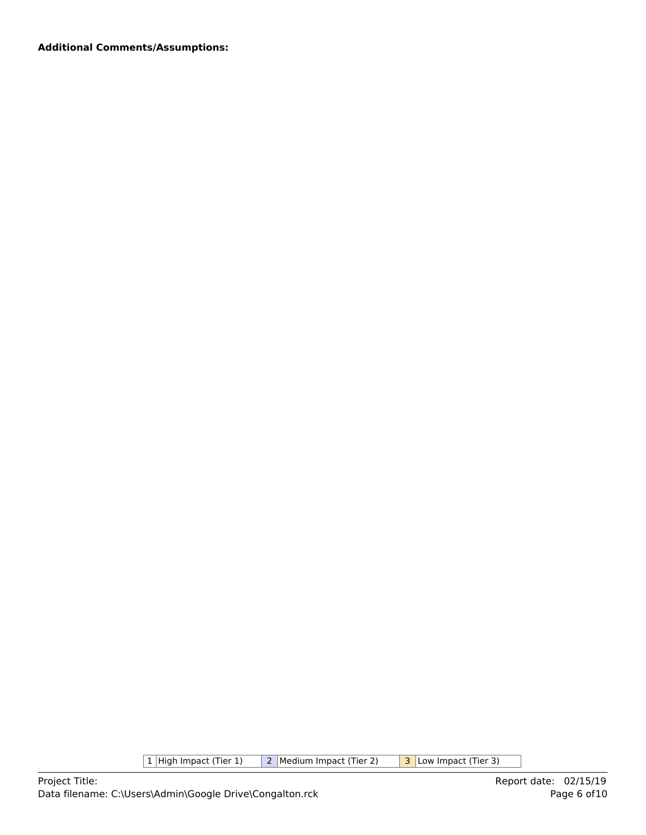| $1$ High Impact (Tier 1) |  | 2   Medium Impact (Tier 2) |  | 3 Low Impact (Tier 3) |
|--------------------------|--|----------------------------|--|-----------------------|
|--------------------------|--|----------------------------|--|-----------------------|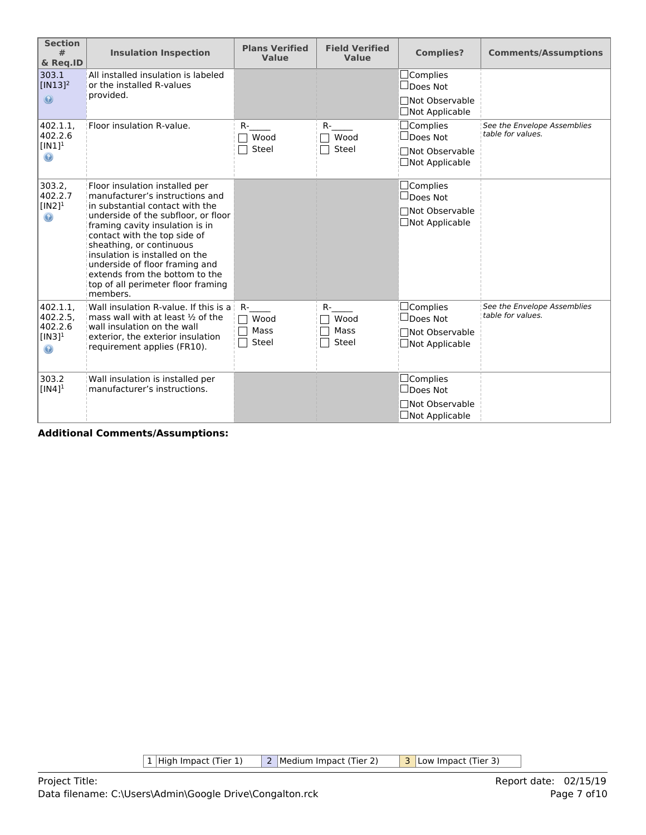| <b>Section</b><br>#<br>& Req.ID                           | <b>Insulation Inspection</b>                                                                                                                                                                                                                                                                                                                                                                       | <b>Plans Verified</b><br>Value          | <b>Field Verified</b><br>Value | <b>Complies?</b>                                                                      | <b>Comments/Assumptions</b>                      |
|-----------------------------------------------------------|----------------------------------------------------------------------------------------------------------------------------------------------------------------------------------------------------------------------------------------------------------------------------------------------------------------------------------------------------------------------------------------------------|-----------------------------------------|--------------------------------|---------------------------------------------------------------------------------------|--------------------------------------------------|
| 303.1<br>$[IN13]^{2}$<br>$\circledcirc$                   | All installed insulation is labeled<br>or the installed R-values<br>provided.                                                                                                                                                                                                                                                                                                                      |                                         |                                | $\Box$ Complies<br>$\Box$ Does Not<br>□Not Observable<br>□Not Applicable              |                                                  |
| 402.1.1,<br>402.2.6<br>$[IN1]$ <sup>1</sup><br>$\odot$    | Floor insulation R-value.                                                                                                                                                                                                                                                                                                                                                                          | $R-$<br>Wood<br>Steel                   | $R-$<br>Wood<br>Steel          | $\Box$ Complies<br>$\Box$ Does Not<br><b>□Not Observable</b><br>□Not Applicable       | See the Envelope Assemblies<br>table for values. |
| 303.2,<br>402.2.7<br>$[IN2]$ <sup>1</sup><br>$\odot$      | Floor insulation installed per<br>manufacturer's instructions and<br>in substantial contact with the<br>underside of the subfloor, or floor<br>framing cavity insulation is in<br>contact with the top side of<br>sheathing, or continuous<br>insulation is installed on the<br>underside of floor framing and<br>extends from the bottom to the<br>top of all perimeter floor framing<br>members. |                                         |                                | $\Box$ Complies<br>$\Box$ Does Not<br>□Not Observable<br>$\Box$ Not Applicable        |                                                  |
| 402.1.1.<br>402.2.5.<br>402.2.6<br>$[IN3]^{1}$<br>$\odot$ | Wall insulation R-value. If this is a<br>mass wall with at least $\frac{1}{2}$ of the<br>wall insulation on the wall<br>exterior, the exterior insulation<br>requirement applies (FR10).                                                                                                                                                                                                           | R-<br>$\Box$ Wood<br>Mass<br>Steel<br>П | $R-$<br>Wood<br>Mass<br>Steel  | $\Box$ Complies<br>$\Box$ Does Not<br><b>□Not Observable</b><br>$\Box$ Not Applicable | See the Envelope Assemblies<br>table for values. |
| 303.2<br>$[IN4]$ <sup>1</sup>                             | Wall insulation is installed per<br>manufacturer's instructions.                                                                                                                                                                                                                                                                                                                                   |                                         |                                | $\Box$ Complies<br>$\Box$ Does Not<br><b>□Not Observable</b><br>$\Box$ Not Applicable |                                                  |

 $\boxed{1}$  High Impact (Tier 1)  $\boxed{2}$  Medium Impact (Tier 2)  $\boxed{3}$  Low Impact (Tier 3)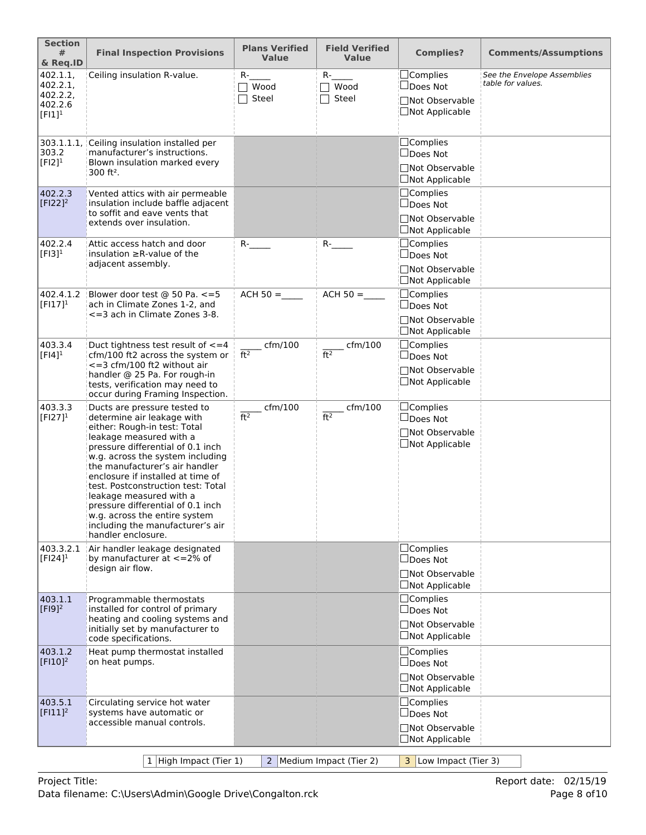| <b>Section</b><br>#<br>& Req.ID                          | <b>Final Inspection Provisions</b>                                                                                                                                                                                                                                                                                                                                                                                                                                     | <b>Plans Verified</b><br><b>Value</b> | <b>Field Verified</b><br><b>Value</b> | <b>Complies?</b>                                                                | <b>Comments/Assumptions</b>                      |
|----------------------------------------------------------|------------------------------------------------------------------------------------------------------------------------------------------------------------------------------------------------------------------------------------------------------------------------------------------------------------------------------------------------------------------------------------------------------------------------------------------------------------------------|---------------------------------------|---------------------------------------|---------------------------------------------------------------------------------|--------------------------------------------------|
| 402.1.1,<br>402.2.1<br>402.2.2,<br>402.2.6<br>$[FI]^{1}$ | Ceiling insulation R-value.                                                                                                                                                                                                                                                                                                                                                                                                                                            | $R-$<br>$\top$ Wood<br>Steel          | $R-$<br>$\sqcap$ Wood<br>Steel        | □Complies<br>□Does Not<br>□Not Observable<br>□Not Applicable                    | See the Envelope Assemblies<br>table for values. |
| 303.1.1.1<br>303.2<br>$[F12]$ <sup>1</sup>               | Ceiling insulation installed per<br>manufacturer's instructions.<br>Blown insulation marked every<br>$300$ ft <sup>2</sup> .                                                                                                                                                                                                                                                                                                                                           |                                       |                                       | $\Box$ Complies<br>$\Box$ Does Not<br>□Not Observable<br>$\Box$ Not Applicable  |                                                  |
| 402.2.3<br>$[F122]^{2}$                                  | Vented attics with air permeable<br>insulation include baffle adjacent<br>to soffit and eave vents that<br>extends over insulation.                                                                                                                                                                                                                                                                                                                                    |                                       |                                       | □Complies<br>$\Box$ Does Not<br>□Not Observable<br>$\Box$ Not Applicable        |                                                  |
| 402.2.4<br>$[F13]$ <sup>1</sup>                          | Attic access hatch and door<br>insulation $\geq$ R-value of the<br>adjacent assembly.                                                                                                                                                                                                                                                                                                                                                                                  | $R$ - $\qquad$                        | $R$ -                                 | $\Box$ Complies<br>$\Box$ Does Not<br>□Not Observable<br>□Not Applicable        |                                                  |
| 402.4.1.2<br>$[FI17]^{1}$                                | Blower door test @ 50 Pa. <= 5<br>ach in Climate Zones 1-2, and<br><= 3 ach in Climate Zones 3-8.                                                                                                                                                                                                                                                                                                                                                                      | $ACH 50 =$                            | $ACH 50 =$                            | $\Box$ Complies<br>□Does Not<br><b>Not Observable</b><br><b>□Not Applicable</b> |                                                  |
| 403.3.4<br>$[FI4]$ <sup>1</sup>                          | Duct tightness test result of $\leq$ = 4<br>cfm/100 ft2 across the system or<br><= 3 cfm/100 ft2 without air<br>handler @ 25 Pa. For rough-in<br>tests, verification may need to<br>occur during Framing Inspection.                                                                                                                                                                                                                                                   | $c$ fm/100<br>ft <sup>2</sup>         | $\_$ cfm/100<br>ft <sup>2</sup>       | $\Box$ Complies<br>$\Box$ Does Not<br>□Not Observable<br>$\Box$ Not Applicable  |                                                  |
| 403.3.3<br>$[FI27]^{1}$                                  | Ducts are pressure tested to<br>determine air leakage with<br>either: Rough-in test: Total<br>leakage measured with a<br>pressure differential of 0.1 inch<br>w.g. across the system including<br>the manufacturer's air handler<br>enclosure if installed at time of<br>test. Postconstruction test: Total<br>leakage measured with a<br>pressure differential of 0.1 inch<br>w.g. across the entire system<br>including the manufacturer's air<br>handler enclosure. | cfm/100<br>ft <sup>2</sup>            | cfm/100<br>ft <sup>2</sup>            | $\Box$ Complies<br>□Does Not<br><b>Not Observable</b><br>□Not Applicable        |                                                  |
| 403.3.2.1<br>$[FI24]$ <sup>1</sup>                       | Air handler leakage designated<br>by manufacturer at $\lt$ =2% of<br>design air flow.                                                                                                                                                                                                                                                                                                                                                                                  |                                       |                                       | □Complies<br>$\Box$ Does Not<br>□Not Observable<br>$\Box$ Not Applicable        |                                                  |
| 403.1.1<br>$[F19]^{2}$                                   | Programmable thermostats<br>installed for control of primary<br>heating and cooling systems and<br>initially set by manufacturer to<br>code specifications.                                                                                                                                                                                                                                                                                                            |                                       |                                       | □Complies<br>$\square$ Does Not<br>□Not Observable<br>$\Box$ Not Applicable     |                                                  |
| 403.1.2<br>$[$ FI10] <sup>2</sup>                        | Heat pump thermostat installed<br>on heat pumps.                                                                                                                                                                                                                                                                                                                                                                                                                       |                                       |                                       | $\Box$ Complies<br>$\Box$ Does Not<br>□Not Observable<br>$\Box$ Not Applicable  |                                                  |
| 403.5.1<br>$[F111]^2$                                    | Circulating service hot water<br>systems have automatic or<br>accessible manual controls.                                                                                                                                                                                                                                                                                                                                                                              |                                       |                                       | $\Box$ Complies<br>$\Box$ Does Not<br>□Not Observable<br>$\Box$ Not Applicable  |                                                  |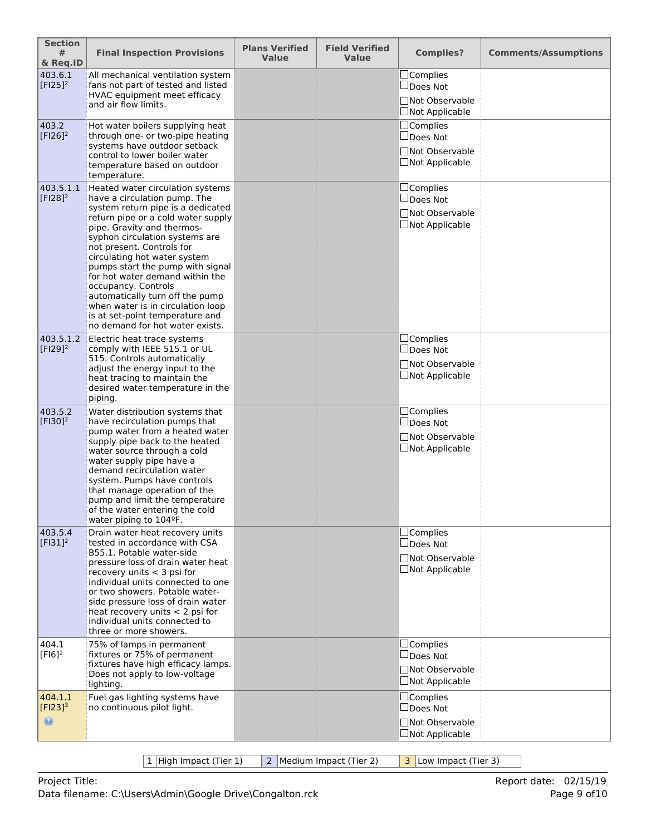| <b>Section</b><br>#<br>& Req.ID           | <b>Final Inspection Provisions</b>                                                                                                                                                                                                                                                                                                                                                                                                                                                                                   | <b>Plans Verified</b><br><b>Value</b> | <b>Field Verified</b><br><b>Value</b> | <b>Complies?</b>                                                               | <b>Comments/Assumptions</b> |
|-------------------------------------------|----------------------------------------------------------------------------------------------------------------------------------------------------------------------------------------------------------------------------------------------------------------------------------------------------------------------------------------------------------------------------------------------------------------------------------------------------------------------------------------------------------------------|---------------------------------------|---------------------------------------|--------------------------------------------------------------------------------|-----------------------------|
| 403.6.1<br>[ $FI25$ ] <sup>2</sup>        | All mechanical ventilation system<br>fans not part of tested and listed<br>HVAC equipment meet efficacy<br>and air flow limits.                                                                                                                                                                                                                                                                                                                                                                                      |                                       |                                       | $\Box$ Complies<br>□Does Not<br>□Not Observable<br>$\Box$ Not Applicable       |                             |
| 403.2<br>$[F126]^{2}$                     | Hot water boilers supplying heat<br>through one- or two-pipe heating<br>systems have outdoor setback<br>control to lower boiler water<br>temperature based on outdoor<br>temperature.                                                                                                                                                                                                                                                                                                                                |                                       |                                       | $\Box$ Complies<br>$\Box$ Does Not<br>□Not Observable<br>□Not Applicable       |                             |
| 403.5.1.1<br>$[F128]^{2}$                 | Heated water circulation systems<br>have a circulation pump. The<br>system return pipe is a dedicated<br>return pipe or a cold water supply<br>pipe. Gravity and thermos-<br>syphon circulation systems are<br>not present. Controls for<br>circulating hot water system<br>pumps start the pump with signal<br>for hot water demand within the<br>occupancy. Controls<br>automatically turn off the pump<br>when water is in circulation loop<br>is at set-point temperature and<br>no demand for hot water exists. |                                       |                                       | □Complies<br>□Does Not<br>□Not Observable<br>□Not Applicable                   |                             |
| 403.5.1.2<br>$[F129]^{2}$                 | Electric heat trace systems<br>comply with IEEE 515.1 or UL<br>515. Controls automatically<br>adjust the energy input to the<br>heat tracing to maintain the<br>desired water temperature in the<br>piping.                                                                                                                                                                                                                                                                                                          |                                       |                                       | □Complies<br>□Does Not<br>□Not Observable<br>$\Box$ Not Applicable             |                             |
| 403.5.2<br>$[F130]^{2}$                   | Water distribution systems that<br>have recirculation pumps that<br>pump water from a heated water<br>supply pipe back to the heated<br>water source through a cold<br>water supply pipe have a<br>demand recirculation water<br>system. Pumps have controls<br>that manage operation of the<br>pump and limit the temperature<br>of the water entering the cold<br>water piping to 104ºF.                                                                                                                           |                                       |                                       | □Complies<br>$\Box$ Does Not<br>□Not Observable<br>$\Box$ Not Applicable       |                             |
| 403.5.4<br>$[FI31]^{2}$                   | Drain water heat recovery units<br>tested in accordance with CSA<br>B55.1. Potable water-side<br>pressure loss of drain water heat<br>recovery units $<$ 3 psi for<br>individual units connected to one<br>or two showers. Potable water-<br>side pressure loss of drain water<br>heat recovery units $<$ 2 psi for<br>individual units connected to<br>three or more showers.                                                                                                                                       |                                       |                                       | □Complies<br>$\Box$ Does Not<br>□Not Observable<br>□Not Applicable             |                             |
| 404.1<br>$[F16]$ <sup>1</sup>             | 75% of lamps in permanent<br>fixtures or 75% of permanent<br>fixtures have high efficacy lamps.<br>Does not apply to low-voltage<br>lighting.                                                                                                                                                                                                                                                                                                                                                                        |                                       |                                       | $\Box$ Complies<br>$\Box$ Does Not<br>□Not Observable<br>$\Box$ Not Applicable |                             |
| 404.1.1<br>$[Fl23]^{3}$<br>$\circledcirc$ | Fuel gas lighting systems have<br>no continuous pilot light.                                                                                                                                                                                                                                                                                                                                                                                                                                                         |                                       |                                       | □Complies<br>$\Box$ Does Not<br>□Not Observable<br>□Not Applicable             |                             |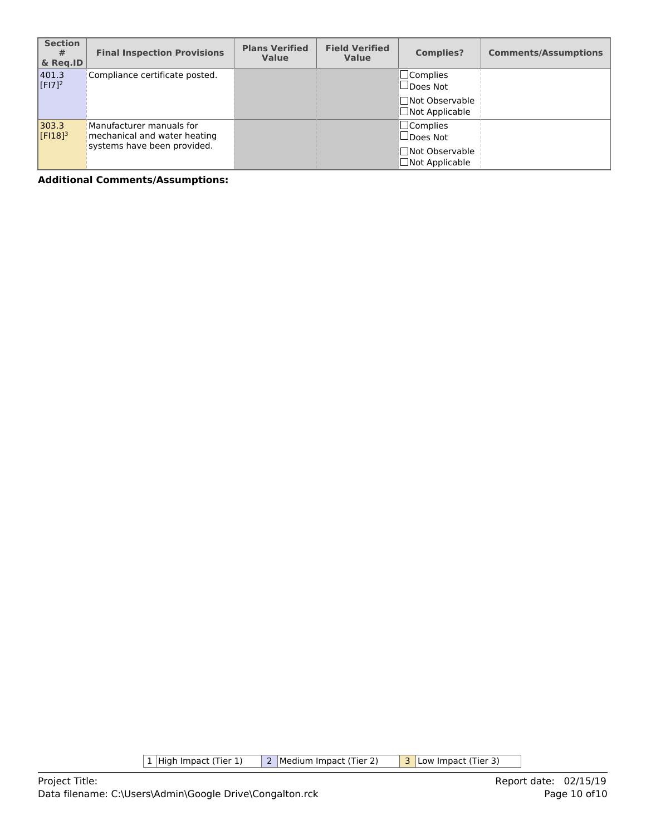| <b>Section</b><br>#<br>& Reg.ID | <b>Final Inspection Provisions</b>                                                      | <b>Plans Verified</b><br><b>Value</b> | <b>Field Verified</b><br><b>Value</b> | <b>Complies?</b>                                                                  | <b>Comments/Assumptions</b> |
|---------------------------------|-----------------------------------------------------------------------------------------|---------------------------------------|---------------------------------------|-----------------------------------------------------------------------------------|-----------------------------|
| 401.3<br>$[F17]^{2}$            | Compliance certificate posted.                                                          |                                       |                                       | $\square$ Complies<br>$\Box$ Does Not<br>□Not Observable<br>$\Box$ Not Applicable |                             |
| 303.3<br>$[F18]$ <sup>3</sup>   | Manufacturer manuals for<br>mechanical and water heating<br>systems have been provided. |                                       |                                       | $\Box$ Complies<br>$\Box$ Does Not<br>□Not Observable<br>$\Box$ Not Applicable    |                             |

 $\boxed{1}$  High Impact (Tier 1)  $\boxed{2}$  Medium Impact (Tier 2)  $\boxed{3}$  Low Impact (Tier 3)